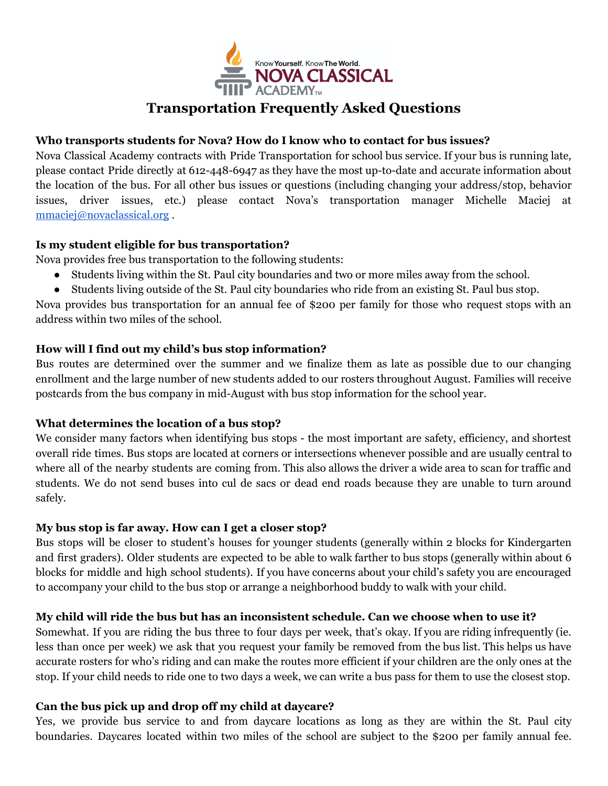

# **Transportation Frequently Asked Questions**

## **Who transports students for Nova? How do I know who to contact for bus issues?**

Nova Classical Academy contracts with Pride Transportation for school bus service. If your bus is running late, please contact Pride directly at 612-448-6947 as they have the most up-to-date and accurate information about the location of the bus. For all other bus issues or questions (including changing your address/stop, behavior issues, driver issues, etc.) please contact Nova's transportation manager Michelle Maciej at [mmaciej@novaclassical.org](mailto:mmaciej@novaclassical.org) .

# **Is my student eligible for bus transportation?**

Nova provides free bus transportation to the following students:

- Students living within the St. Paul city boundaries and two or more miles away from the school.
- Students living outside of the St. Paul city boundaries who ride from an existing St. Paul bus stop.

Nova provides bus transportation for an annual fee of \$200 per family for those who request stops with an address within two miles of the school.

# **How will I find out my child's bus stop information?**

Bus routes are determined over the summer and we finalize them as late as possible due to our changing enrollment and the large number of new students added to our rosters throughout August. Families will receive postcards from the bus company in mid-August with bus stop information for the school year.

# **What determines the location of a bus stop?**

We consider many factors when identifying bus stops - the most important are safety, efficiency, and shortest overall ride times. Bus stops are located at corners or intersections whenever possible and are usually central to where all of the nearby students are coming from. This also allows the driver a wide area to scan for traffic and students. We do not send buses into cul de sacs or dead end roads because they are unable to turn around safely.

# **My bus stop is far away. How can I get a closer stop?**

Bus stops will be closer to student's houses for younger students (generally within 2 blocks for Kindergarten and first graders). Older students are expected to be able to walk farther to bus stops (generally within about 6 blocks for middle and high school students). If you have concerns about your child's safety you are encouraged to accompany your child to the bus stop or arrange a neighborhood buddy to walk with your child.

# **My child will ride the bus but has an inconsistent schedule. Can we choose when to use it?**

Somewhat. If you are riding the bus three to four days per week, that's okay. If you are riding infrequently (ie. less than once per week) we ask that you request your family be removed from the bus list. This helps us have accurate rosters for who's riding and can make the routes more efficient if your children are the only ones at the stop. If your child needs to ride one to two days a week, we can write a bus pass for them to use the closest stop.

# **Can the bus pick up and drop off my child at daycare?**

Yes, we provide bus service to and from daycare locations as long as they are within the St. Paul city boundaries. Daycares located within two miles of the school are subject to the \$200 per family annual fee.